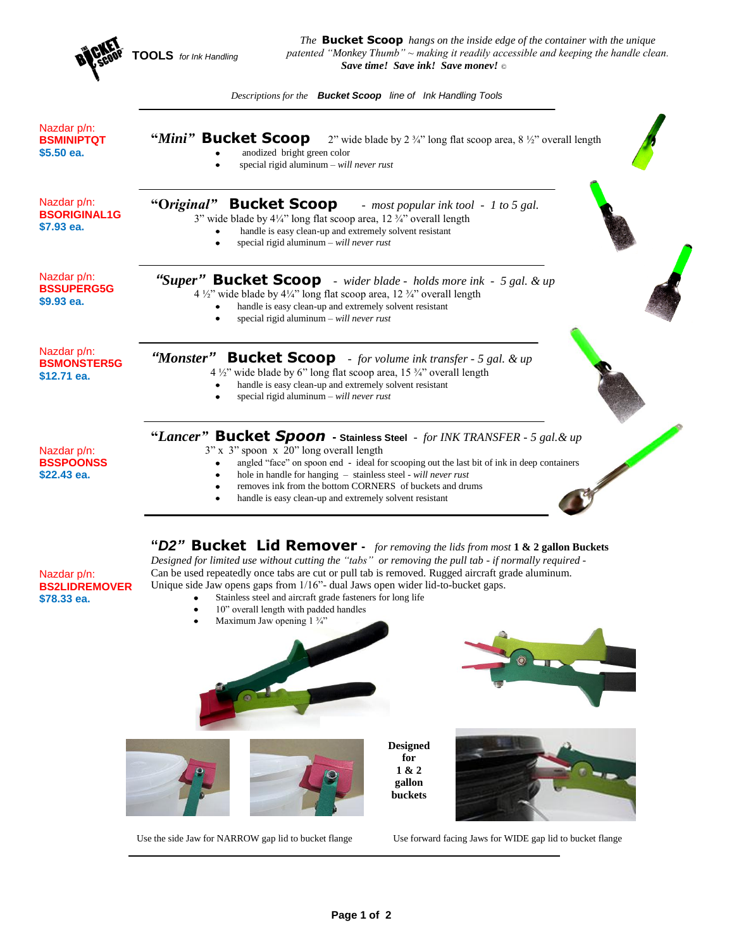|                                                  | The <b>Bucket Scoop</b> hangs on the inside edge of the container with the unique<br>patented "Monkey Thumb" ~ making it readily accessible and keeping the handle clean.<br><b>OOLS</b> for Ink Handling<br>Save time! Save ink! Save money! ©                                                                                                                                                            |
|--------------------------------------------------|------------------------------------------------------------------------------------------------------------------------------------------------------------------------------------------------------------------------------------------------------------------------------------------------------------------------------------------------------------------------------------------------------------|
|                                                  | Descriptions for the <b>Bucket Scoop</b> line of Ink Handling Tools                                                                                                                                                                                                                                                                                                                                        |
| Nazdar p/n:<br><b>BSMINIPTQT</b><br>$$5.50$ ea.  | "Mini" Bucket Scoop $2^{\nu}$ wide blade by $2\frac{3}{4}$ " long flat scoop area, $8\frac{1}{2}$ " overall length<br>anodized bright green color<br>special rigid aluminum $-$ will never rust                                                                                                                                                                                                            |
| Nazdar p/n:<br><b>BSORIGINAL1G</b><br>\$7.93 ea. | "Original" Bucket Scoop<br>- most popular ink tool - 1 to 5 gal.<br>3" wide blade by $4\frac{1}{4}$ " long flat scoop area, 12 $\frac{3}{4}$ " overall length<br>handle is easy clean-up and extremely solvent resistant<br>special rigid aluminum $-$ will never rust                                                                                                                                     |
| Nazdar p/n:<br><b>BSSUPERG5G</b><br>\$9.93 ea.   | "Super" Bucket Scoop - wider blade - holds more ink - 5 gal. & up<br>4 $\frac{1}{2}$ " wide blade by 4 $\frac{1}{4}$ " long flat scoop area, 12 $\frac{3}{4}$ " overall length<br>handle is easy clean-up and extremely solvent resistant<br>special rigid aluminum $-$ will never rust                                                                                                                    |
| Nazdar p/n:<br><b>BSMONSTER5G</b><br>\$12.71 ea. | "Monster"<br><b>Bucket Scoop</b> - for volume ink transfer - 5 gal. & up<br>4 $\frac{1}{2}$ " wide blade by 6" long flat scoop area, 15 $\frac{3}{4}$ " overall length<br>handle is easy clean-up and extremely solvent resistant<br>special rigid aluminum $-$ will never rust                                                                                                                            |
| Nazdar p/n:<br><b>BSSPOONSS</b><br>\$22.43 ea.   | "Lancer" Bucket Spoon - Stainless Steel - for INK TRANSFER - 5 gal. & up<br>3" x 3" spoon x 20" long overall length<br>angled "face" on spoon end - ideal for scooping out the last bit of ink in deep containers<br>hole in handle for hanging - stainless steel - will never rust<br>removes ink from the bottom CORNERS of buckets and drums<br>handle is easy clean-up and extremely solvent resistant |
|                                                  |                                                                                                                                                                                                                                                                                                                                                                                                            |

**"***D2"* **Bucket Lid Remover -** *for removing the lids from most* **1 & 2 gallon Buckets** *Designed for limited use without cutting the "tabs" or removing the pull tab - if normally required -* Can be used repeatedly once tabs are cut or pull tab is removed. Rugged aircraft grade aluminum. Unique side Jaw opens gaps from 1/16"- dual Jaws open wider lid-to-bucket gaps.

- $\bullet$ Stainless steel and aircraft grade fasteners for long life
- $\bullet$ 10" overall length with padded handles
- $\bullet$ Maximum Jaw opening 1 ¾"

Nazdar p/n: **BS2LIDREMOVER**

**\$78.33 ea.**



Use the side Jaw for NARROW gap lid to bucket flange Use forward facing Jaws for WIDE gap lid to bucket flange